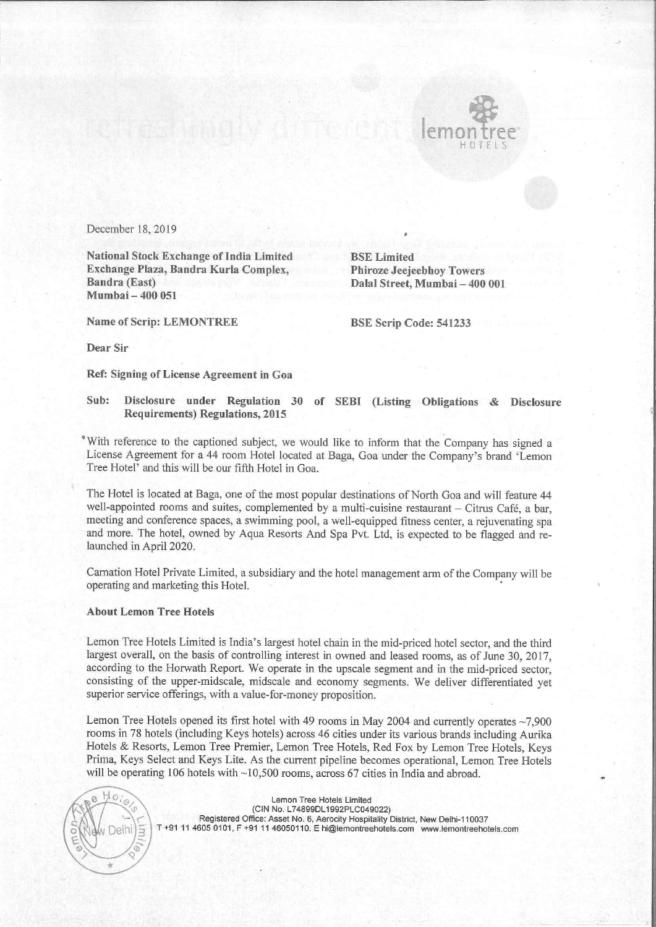

December 18, 2019

National Stock Exchange of India Limited BSE Limited Exchange Plaza, Bandra Kurla Complex, Phiroze Jeejeebhoy Towers Bandra (East) Dalal Street, Mumbai — 400 001 Mumbai — 400 051

Name of Scrip: LEMONTREE BSE Scrip Code: 541233

o

Dear Sir

Ref: Signing of License Agreement in Goa

## Sub: Disclosure under Regulation 30 of SEBI (Listing Obligations & Disclosure Requirements) Regulations, 2015

<sup>\*</sup>With reference to the captioned subject, we would like to inform that the Company has signed a License Agreement for a 44 room Hotel located at Baga, Goa under the Company's brand 'Lemon Tree Hotel' and this will be our fifth Hotel in Goa.

The Hotel is located at Baga, one of the most popular destinations of North Goa and will feature 44 well-appointed rooms and suites, complemented by a multi-cuisine restaurant — Citrus Café, a bar, meeting and conference spaces, a swimming pool, a well-equipped fitness center, a rejuvenating spa and more. The hotel, owned by Aqua Resorts And Spa Pvt. Ltd, is expected to be flagged and relaunched in April 2020.

Carnation Hotel Private Limited, a subsidiary and the hotel management arm of the Company will be operating and marketing this Hotel. ,

## About Lemon Tree Hotels

Lemon Tree Hotels Limited is India's largest hotel chain in the mid-priced hotel sector, and the third largest overall, on the basis of controlling interest in owned and leased rooms, as of June 30, 2017, according to the Horwath Report. We operate in the upscale segment and in the mid-priced sector, consisting of the upper-midscale, midscale and economy segments. We deliver differentiated yet superior service offerings, with a value-for-money proposition.

Lemon Tree Hotels opened its first hotel with 49 rooms in May 2004 and currently operates ~7,900 rooms in 78 hotels (including Keys hotels) across 46 cities under its various brands including Aurika Hotels & Resorts, Lemon Tree Premier, Lemon Tree Hotels, Red Fox by Lemon Tree Hotels, Keys Prima, Keys Select and Keys Lite. As the current pipeline becomes operational, Lemon Tree Hotels will be operating 106 hotels with ~10,500 rooms, across 67 cities in India and abroad.

 $\mathbb{A}$  $\mathbf{e}$  $\epsilon$ 

Lemon Tree Hotels Limited (CIN No. L74899DL1992PLC049022) Registered Office: Asset No. 6, Aerocity Hospitality District, New Delhi-110037 | T +91 11 4605 0101, F +91 11 46050110. E hi@lemontreehotels.com www.lemontreehotels.com